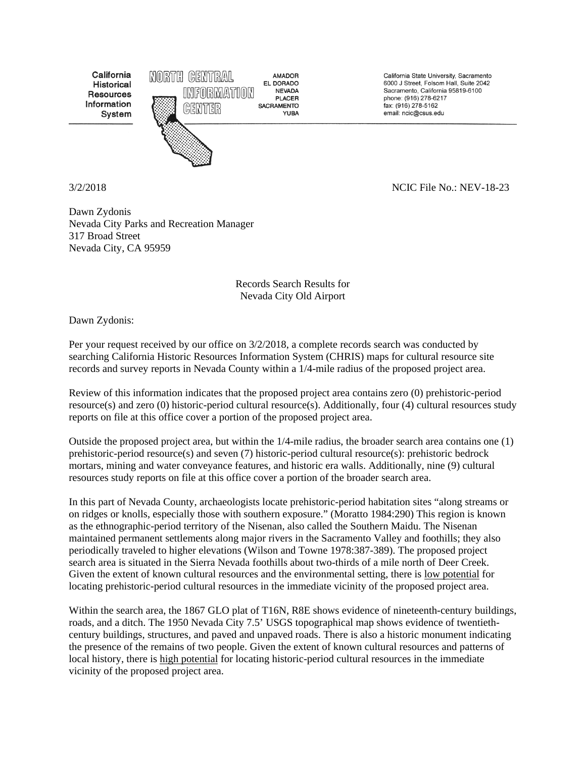California Historical **Resources** Information System



**NEVADA PLACER YUBA** 

California State University, Sacramento 6000 J Street, Folsom Hall, Suite 2042 Sacramento, California 95819-6100 phone: (916) 278-6217 fax: (916) 278-5162 email: ncic@csus.edu

3/2/2018 NCIC File No.: NEV-18-23

Dawn Zydonis Nevada City Parks and Recreation Manager 317 Broad Street Nevada City, CA 95959

Records Search Results for Nevada City Old Airport

Dawn Zydonis:

Per your request received by our office on 3/2/2018, a complete records search was conducted by searching California Historic Resources Information System (CHRIS) maps for cultural resource site records and survey reports in Nevada County within a 1/4-mile radius of the proposed project area.

Review of this information indicates that the proposed project area contains zero (0) prehistoric-period resource(s) and zero (0) historic-period cultural resource(s). Additionally, four (4) cultural resources study reports on file at this office cover a portion of the proposed project area.

Outside the proposed project area, but within the 1/4-mile radius, the broader search area contains one (1) prehistoric-period resource(s) and seven (7) historic-period cultural resource(s): prehistoric bedrock mortars, mining and water conveyance features, and historic era walls. Additionally, nine (9) cultural resources study reports on file at this office cover a portion of the broader search area.

In this part of Nevada County, archaeologists locate prehistoric-period habitation sites "along streams or on ridges or knolls, especially those with southern exposure." (Moratto 1984:290) This region is known as the ethnographic-period territory of the Nisenan, also called the Southern Maidu. The Nisenan maintained permanent settlements along major rivers in the Sacramento Valley and foothills; they also periodically traveled to higher elevations (Wilson and Towne 1978:387-389). The proposed project search area is situated in the Sierra Nevada foothills about two-thirds of a mile north of Deer Creek. Given the extent of known cultural resources and the environmental setting, there is low potential for locating prehistoric-period cultural resources in the immediate vicinity of the proposed project area.

Within the search area, the 1867 GLO plat of T16N, R8E shows evidence of nineteenth-century buildings, roads, and a ditch. The 1950 Nevada City 7.5' USGS topographical map shows evidence of twentiethcentury buildings, structures, and paved and unpaved roads. There is also a historic monument indicating the presence of the remains of two people. Given the extent of known cultural resources and patterns of local history, there is high potential for locating historic-period cultural resources in the immediate vicinity of the proposed project area.